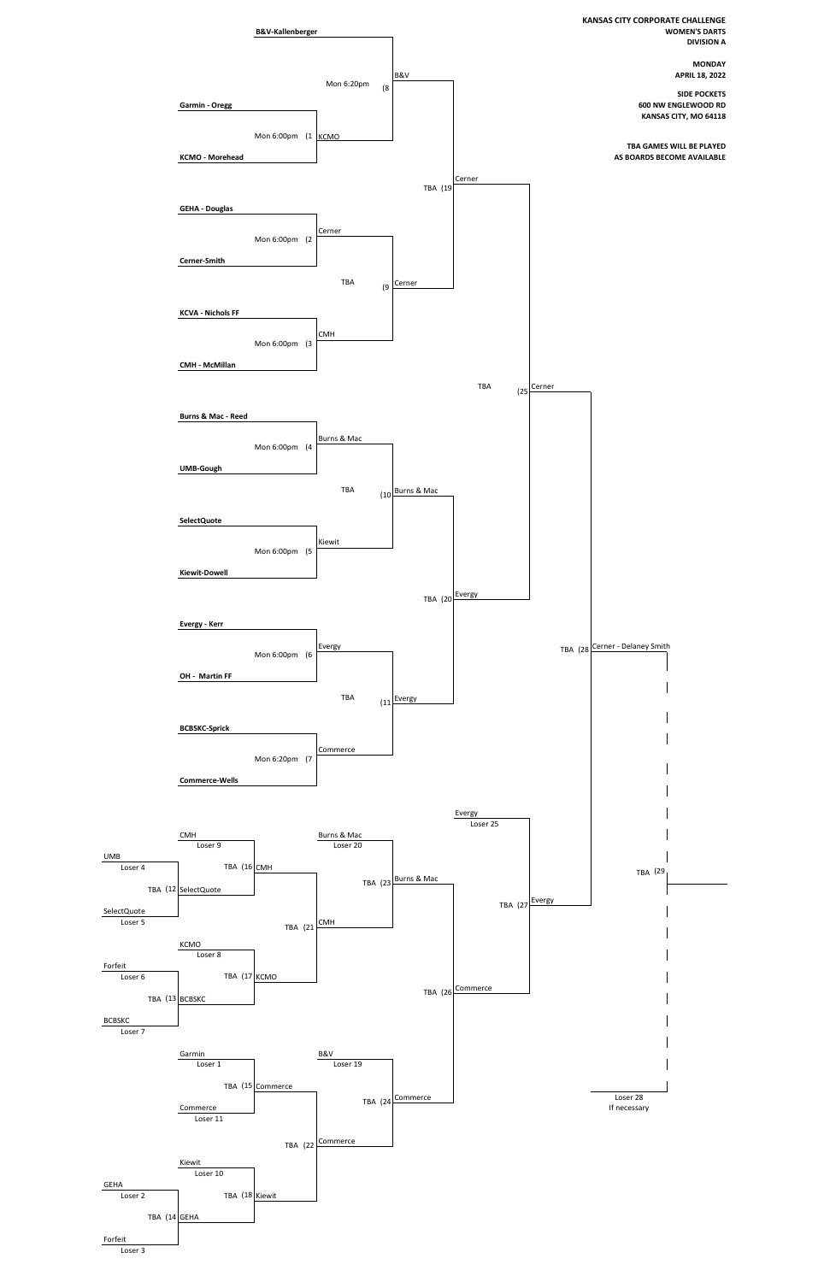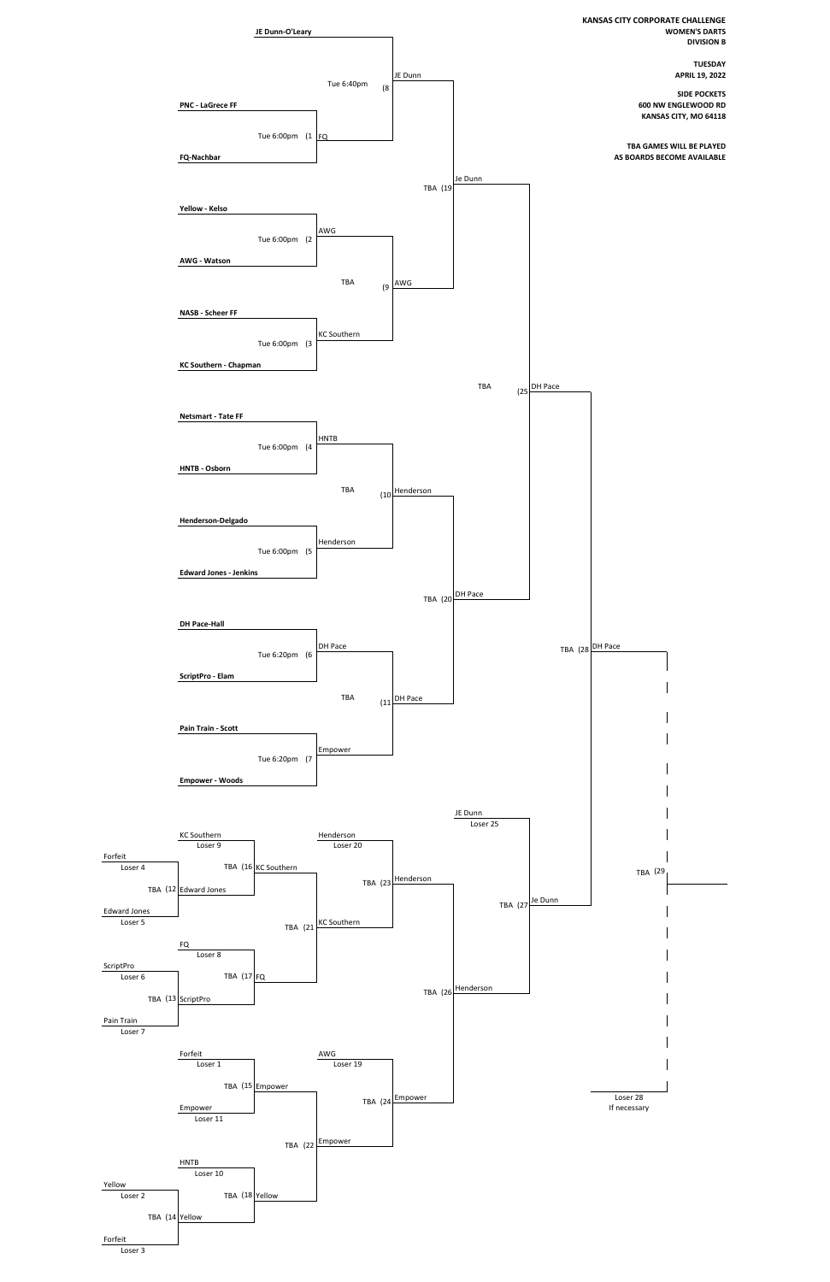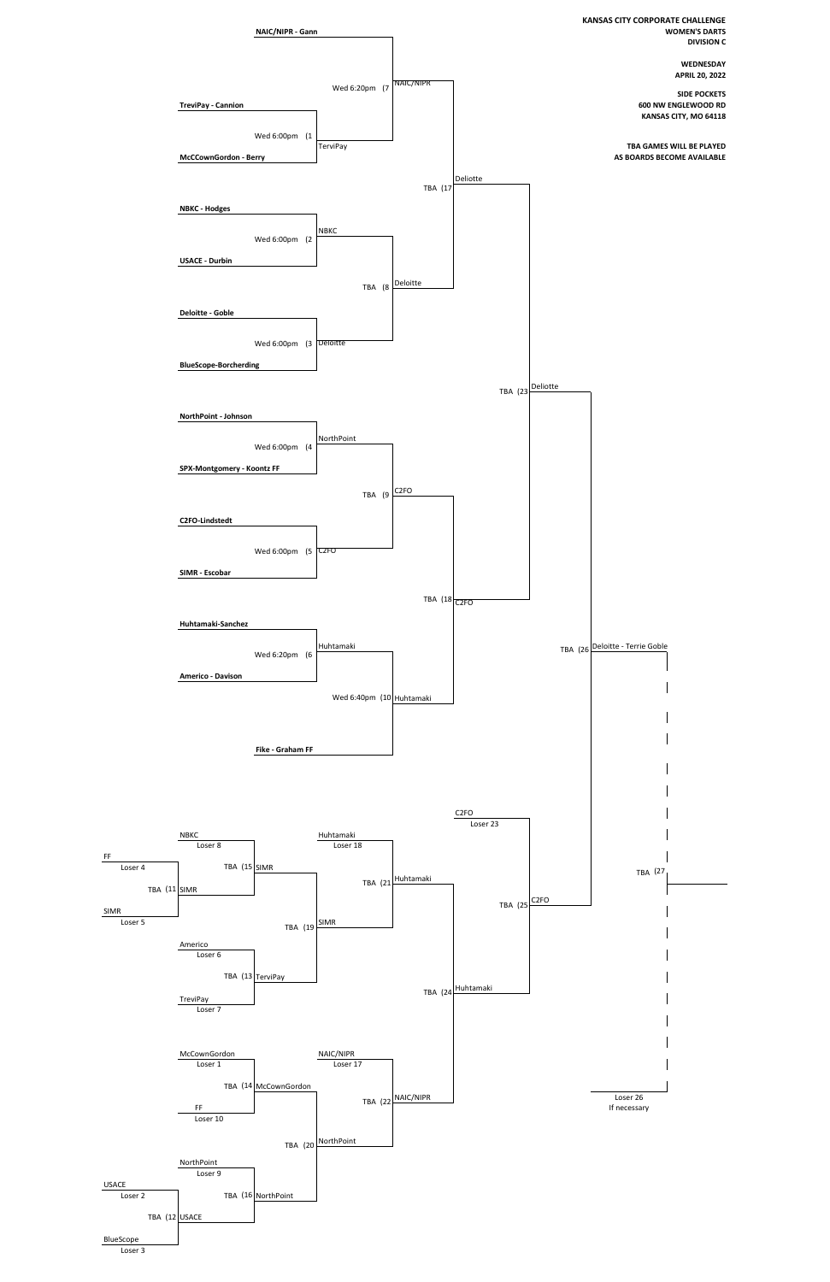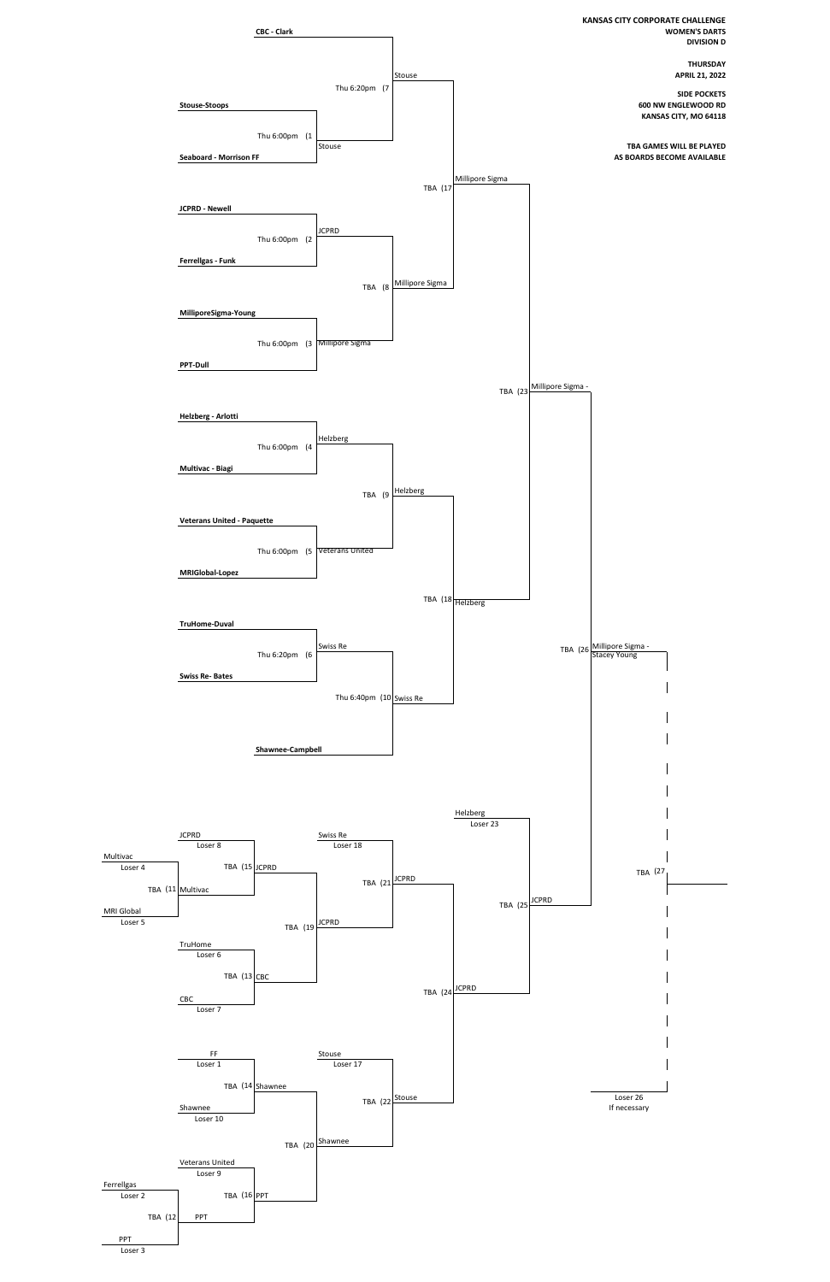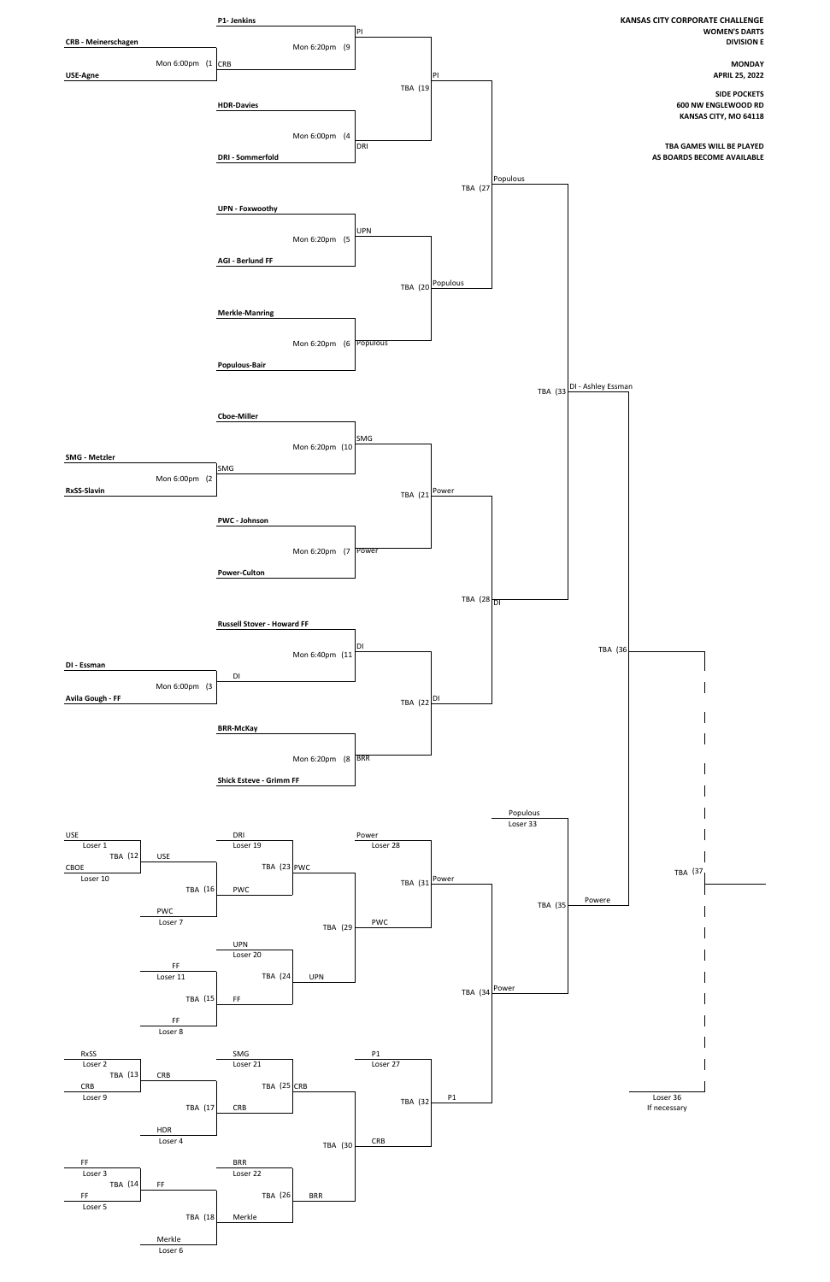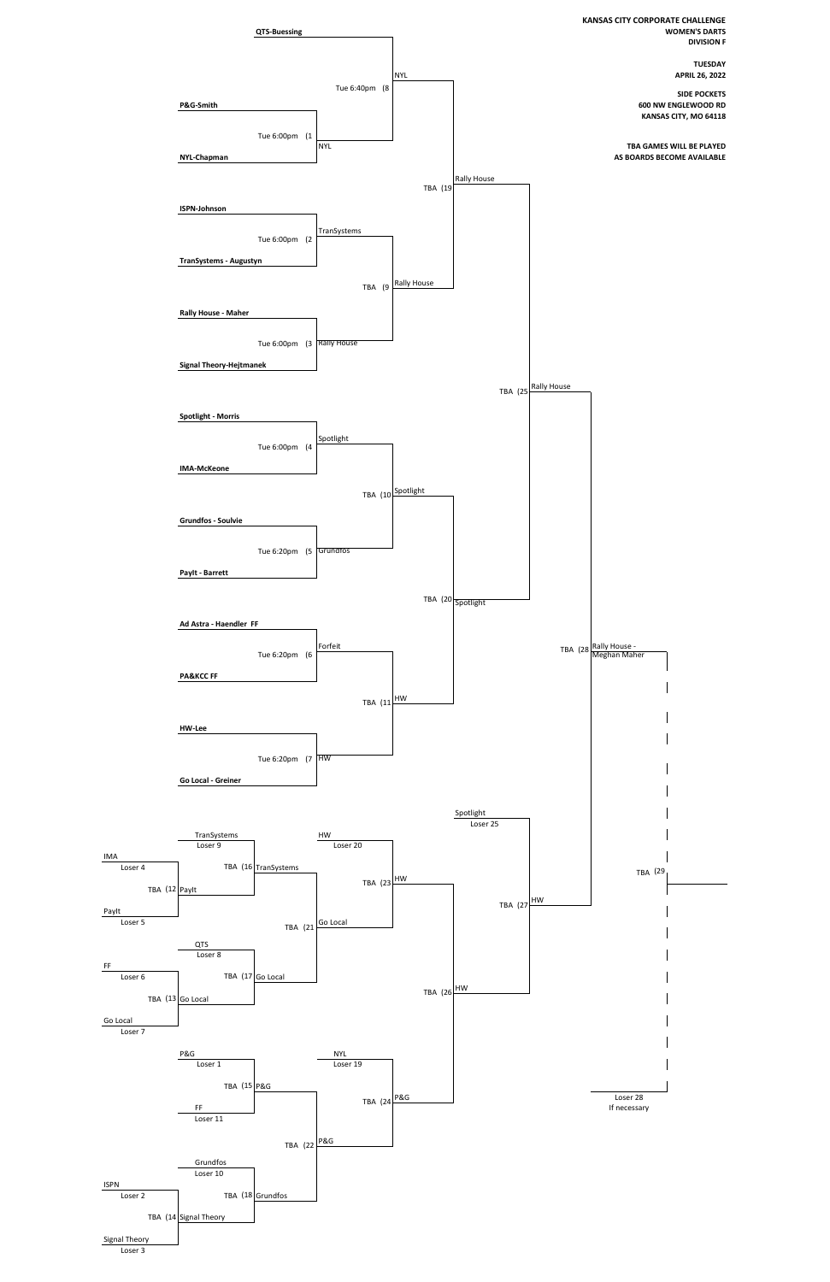